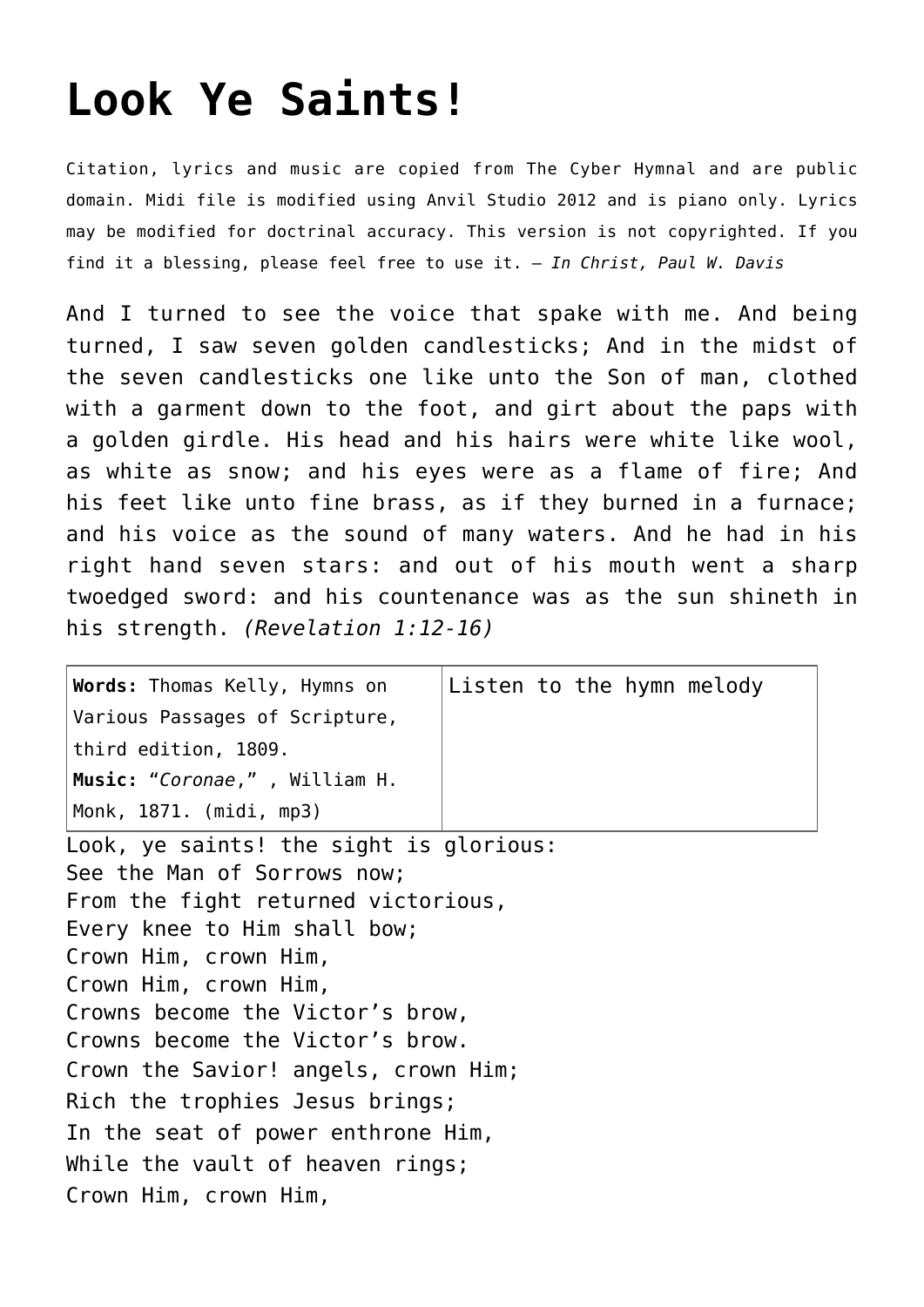## **[Look Ye Saints!](http://reproachofmen.org/hymns-and-music/look-ye-saints/)**

Citation, lyrics and music are copied from [The Cyber Hymnal](http://www.hymntime.com/tch/) and are public domain. Midi file is modified using Anvil Studio 2012 and is piano only. Lyrics may be modified for doctrinal accuracy. This version is not copyrighted. If you find it a blessing, please feel free to use it. — *In Christ, Paul W. Davis*

And I turned to see the voice that spake with me. And being turned, I saw seven golden candlesticks; And in the midst of the seven candlesticks one like unto the Son of man, clothed with a garment down to the foot, and girt about the paps with a golden girdle. His head and his hairs were white like wool, as white as snow; and his eyes were as a flame of fire; And his feet like unto fine brass, as if they burned in a furnace; and his voice as the sound of many waters. And he had in his right hand seven stars: and out of his mouth went a sharp twoedged sword: and his countenance was as the sun shineth in his strength. *(Revelation 1:12-16)*

| Words: Thomas Kelly, Hymns on                                                                                                                                                                                                                                                                                                                      | Listen to the hymn melody |
|----------------------------------------------------------------------------------------------------------------------------------------------------------------------------------------------------------------------------------------------------------------------------------------------------------------------------------------------------|---------------------------|
| Various Passages of Scripture,<br>$ $ third edition, 1809.                                                                                                                                                                                                                                                                                         |                           |
| Music: "Coronae,", William H.                                                                                                                                                                                                                                                                                                                      |                           |
| Monk, 1871. (midi, mp3)                                                                                                                                                                                                                                                                                                                            |                           |
| Look, ye saints! the sight is glorious:<br>See the Man of Sorrows now;<br>From the fight returned victorious,<br>Every knee to Him shall bow;<br>Crown Him, crown Him,<br>Crown Him, crown Him,<br>Crowns become the Victor's brow,<br>Crowns become the Victor's brow.<br>Crown the Savior! angels, crown Him;<br>Rich the trophies Jesus brings; |                           |
| In the seat of power enthrone Him,                                                                                                                                                                                                                                                                                                                 |                           |
| While the vault of heaven rings;                                                                                                                                                                                                                                                                                                                   |                           |
| Crown Him, crown Him,                                                                                                                                                                                                                                                                                                                              |                           |